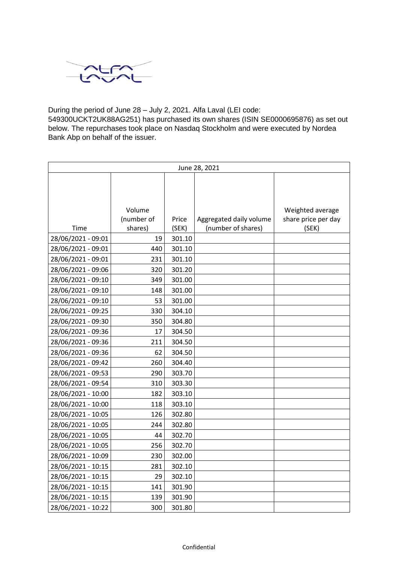

During the period of June 28 – July 2, 2021. Alfa Laval (LEI code:

549300UCKT2UK88AG251) has purchased its own shares (ISIN SE0000695876) as set out below. The repurchases took place on Nasdaq Stockholm and were executed by Nordea Bank Abp on behalf of the issuer.

| June 28, 2021      |            |        |                         |                     |  |
|--------------------|------------|--------|-------------------------|---------------------|--|
|                    |            |        |                         |                     |  |
|                    |            |        |                         |                     |  |
|                    |            |        |                         |                     |  |
|                    | Volume     |        |                         | Weighted average    |  |
|                    | (number of | Price  | Aggregated daily volume | share price per day |  |
| Time               | shares)    | (SEK)  | (number of shares)      | (SEK)               |  |
| 28/06/2021 - 09:01 | 19         | 301.10 |                         |                     |  |
| 28/06/2021 - 09:01 | 440        | 301.10 |                         |                     |  |
| 28/06/2021 - 09:01 | 231        | 301.10 |                         |                     |  |
| 28/06/2021 - 09:06 | 320        | 301.20 |                         |                     |  |
| 28/06/2021 - 09:10 | 349        | 301.00 |                         |                     |  |
| 28/06/2021 - 09:10 | 148        | 301.00 |                         |                     |  |
| 28/06/2021 - 09:10 | 53         | 301.00 |                         |                     |  |
| 28/06/2021 - 09:25 | 330        | 304.10 |                         |                     |  |
| 28/06/2021 - 09:30 | 350        | 304.80 |                         |                     |  |
| 28/06/2021 - 09:36 | 17         | 304.50 |                         |                     |  |
| 28/06/2021 - 09:36 | 211        | 304.50 |                         |                     |  |
| 28/06/2021 - 09:36 | 62         | 304.50 |                         |                     |  |
| 28/06/2021 - 09:42 | 260        | 304.40 |                         |                     |  |
| 28/06/2021 - 09:53 | 290        | 303.70 |                         |                     |  |
| 28/06/2021 - 09:54 | 310        | 303.30 |                         |                     |  |
| 28/06/2021 - 10:00 | 182        | 303.10 |                         |                     |  |
| 28/06/2021 - 10:00 | 118        | 303.10 |                         |                     |  |
| 28/06/2021 - 10:05 | 126        | 302.80 |                         |                     |  |
| 28/06/2021 - 10:05 | 244        | 302.80 |                         |                     |  |
| 28/06/2021 - 10:05 | 44         | 302.70 |                         |                     |  |
| 28/06/2021 - 10:05 | 256        | 302.70 |                         |                     |  |
| 28/06/2021 - 10:09 | 230        | 302.00 |                         |                     |  |
| 28/06/2021 - 10:15 | 281        | 302.10 |                         |                     |  |
| 28/06/2021 - 10:15 | 29         | 302.10 |                         |                     |  |
| 28/06/2021 - 10:15 | 141        | 301.90 |                         |                     |  |
| 28/06/2021 - 10:15 | 139        | 301.90 |                         |                     |  |
| 28/06/2021 - 10:22 | 300        | 301.80 |                         |                     |  |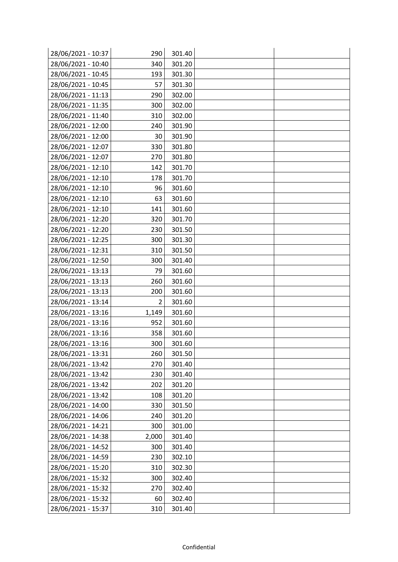| 28/06/2021 - 10:37 | 290   | 301.40 |  |
|--------------------|-------|--------|--|
| 28/06/2021 - 10:40 | 340   | 301.20 |  |
| 28/06/2021 - 10:45 | 193   | 301.30 |  |
| 28/06/2021 - 10:45 | 57    | 301.30 |  |
| 28/06/2021 - 11:13 | 290   | 302.00 |  |
| 28/06/2021 - 11:35 | 300   | 302.00 |  |
| 28/06/2021 - 11:40 | 310   | 302.00 |  |
| 28/06/2021 - 12:00 | 240   | 301.90 |  |
| 28/06/2021 - 12:00 | 30    | 301.90 |  |
| 28/06/2021 - 12:07 | 330   | 301.80 |  |
| 28/06/2021 - 12:07 | 270   | 301.80 |  |
| 28/06/2021 - 12:10 | 142   | 301.70 |  |
| 28/06/2021 - 12:10 | 178   | 301.70 |  |
| 28/06/2021 - 12:10 | 96    | 301.60 |  |
| 28/06/2021 - 12:10 | 63    | 301.60 |  |
| 28/06/2021 - 12:10 | 141   | 301.60 |  |
| 28/06/2021 - 12:20 | 320   | 301.70 |  |
| 28/06/2021 - 12:20 | 230   | 301.50 |  |
| 28/06/2021 - 12:25 | 300   | 301.30 |  |
| 28/06/2021 - 12:31 | 310   | 301.50 |  |
| 28/06/2021 - 12:50 | 300   | 301.40 |  |
| 28/06/2021 - 13:13 | 79    | 301.60 |  |
| 28/06/2021 - 13:13 | 260   | 301.60 |  |
| 28/06/2021 - 13:13 | 200   | 301.60 |  |
| 28/06/2021 - 13:14 | 2     | 301.60 |  |
| 28/06/2021 - 13:16 | 1,149 | 301.60 |  |
| 28/06/2021 - 13:16 | 952   | 301.60 |  |
| 28/06/2021 - 13:16 | 358   | 301.60 |  |
| 28/06/2021 - 13:16 | 300   | 301.60 |  |
| 28/06/2021 - 13:31 | 260   | 301.50 |  |
| 28/06/2021 - 13:42 | 270   | 301.40 |  |
| 28/06/2021 - 13:42 | 230   | 301.40 |  |
| 28/06/2021 - 13:42 | 202   | 301.20 |  |
| 28/06/2021 - 13:42 | 108   | 301.20 |  |
| 28/06/2021 - 14:00 | 330   | 301.50 |  |
| 28/06/2021 - 14:06 | 240   | 301.20 |  |
| 28/06/2021 - 14:21 | 300   | 301.00 |  |
| 28/06/2021 - 14:38 | 2,000 | 301.40 |  |
| 28/06/2021 - 14:52 | 300   | 301.40 |  |
| 28/06/2021 - 14:59 | 230   | 302.10 |  |
| 28/06/2021 - 15:20 | 310   | 302.30 |  |
| 28/06/2021 - 15:32 | 300   | 302.40 |  |
| 28/06/2021 - 15:32 | 270   | 302.40 |  |
| 28/06/2021 - 15:32 | 60    | 302.40 |  |
| 28/06/2021 - 15:37 | 310   | 301.40 |  |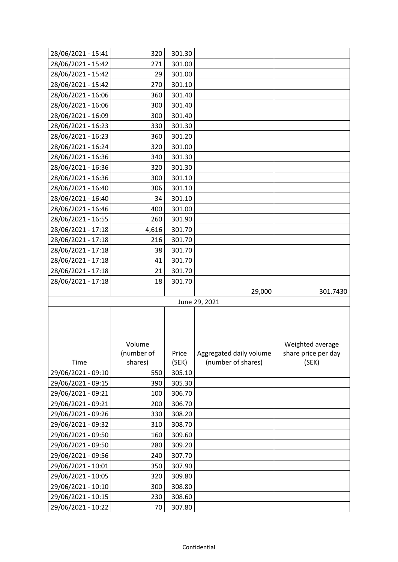| 28/06/2021 - 15:41 | 320        | 301.30 |                         |                     |
|--------------------|------------|--------|-------------------------|---------------------|
| 28/06/2021 - 15:42 | 271        | 301.00 |                         |                     |
| 28/06/2021 - 15:42 | 29         | 301.00 |                         |                     |
| 28/06/2021 - 15:42 | 270        | 301.10 |                         |                     |
| 28/06/2021 - 16:06 | 360        | 301.40 |                         |                     |
| 28/06/2021 - 16:06 | 300        | 301.40 |                         |                     |
| 28/06/2021 - 16:09 | 300        | 301.40 |                         |                     |
| 28/06/2021 - 16:23 | 330        | 301.30 |                         |                     |
| 28/06/2021 - 16:23 | 360        | 301.20 |                         |                     |
| 28/06/2021 - 16:24 | 320        | 301.00 |                         |                     |
| 28/06/2021 - 16:36 | 340        | 301.30 |                         |                     |
| 28/06/2021 - 16:36 | 320        | 301.30 |                         |                     |
| 28/06/2021 - 16:36 | 300        | 301.10 |                         |                     |
| 28/06/2021 - 16:40 | 306        | 301.10 |                         |                     |
| 28/06/2021 - 16:40 | 34         | 301.10 |                         |                     |
| 28/06/2021 - 16:46 | 400        | 301.00 |                         |                     |
| 28/06/2021 - 16:55 | 260        | 301.90 |                         |                     |
| 28/06/2021 - 17:18 | 4,616      | 301.70 |                         |                     |
| 28/06/2021 - 17:18 | 216        | 301.70 |                         |                     |
| 28/06/2021 - 17:18 | 38         | 301.70 |                         |                     |
| 28/06/2021 - 17:18 | 41         | 301.70 |                         |                     |
| 28/06/2021 - 17:18 | 21         | 301.70 |                         |                     |
| 28/06/2021 - 17:18 | 18         | 301.70 |                         |                     |
|                    |            |        | 29,000                  | 301.7430            |
|                    |            |        | June 29, 2021           |                     |
|                    |            |        |                         |                     |
|                    |            |        |                         |                     |
|                    |            |        |                         |                     |
|                    | Volume     |        |                         | Weighted average    |
|                    | (number of | Price  | Aggregated daily volume | share price per day |
| Time               | shares)    | (SEK)  | (number of shares)      | (SEK)               |
| 29/06/2021 - 09:10 | 550        | 305.10 |                         |                     |
| 29/06/2021 - 09:15 | 390        | 305.30 |                         |                     |
| 29/06/2021 - 09:21 | 100        | 306.70 |                         |                     |
| 29/06/2021 - 09:21 | 200        | 306.70 |                         |                     |
| 29/06/2021 - 09:26 | 330        | 308.20 |                         |                     |
| 29/06/2021 - 09:32 | 310        | 308.70 |                         |                     |
| 29/06/2021 - 09:50 | 160        | 309.60 |                         |                     |
| 29/06/2021 - 09:50 | 280        | 309.20 |                         |                     |
| 29/06/2021 - 09:56 | 240        | 307.70 |                         |                     |
| 29/06/2021 - 10:01 | 350        | 307.90 |                         |                     |
| 29/06/2021 - 10:05 | 320        | 309.80 |                         |                     |
| 29/06/2021 - 10:10 | 300        | 308.80 |                         |                     |
|                    |            |        |                         |                     |
| 29/06/2021 - 10:15 | 230        | 308.60 |                         |                     |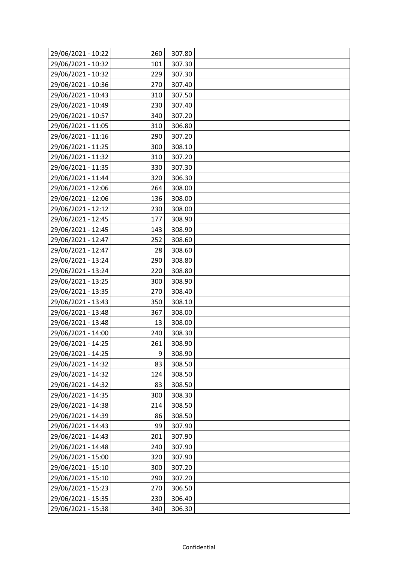| 29/06/2021 - 10:22 | 260 | 307.80 |  |
|--------------------|-----|--------|--|
| 29/06/2021 - 10:32 | 101 | 307.30 |  |
| 29/06/2021 - 10:32 | 229 | 307.30 |  |
| 29/06/2021 - 10:36 | 270 | 307.40 |  |
| 29/06/2021 - 10:43 | 310 | 307.50 |  |
| 29/06/2021 - 10:49 | 230 | 307.40 |  |
| 29/06/2021 - 10:57 | 340 | 307.20 |  |
| 29/06/2021 - 11:05 | 310 | 306.80 |  |
| 29/06/2021 - 11:16 | 290 | 307.20 |  |
| 29/06/2021 - 11:25 | 300 | 308.10 |  |
| 29/06/2021 - 11:32 | 310 | 307.20 |  |
| 29/06/2021 - 11:35 | 330 | 307.30 |  |
| 29/06/2021 - 11:44 | 320 | 306.30 |  |
| 29/06/2021 - 12:06 | 264 | 308.00 |  |
| 29/06/2021 - 12:06 | 136 | 308.00 |  |
| 29/06/2021 - 12:12 | 230 | 308.00 |  |
| 29/06/2021 - 12:45 | 177 | 308.90 |  |
| 29/06/2021 - 12:45 | 143 | 308.90 |  |
| 29/06/2021 - 12:47 | 252 | 308.60 |  |
| 29/06/2021 - 12:47 | 28  | 308.60 |  |
| 29/06/2021 - 13:24 | 290 | 308.80 |  |
| 29/06/2021 - 13:24 | 220 | 308.80 |  |
| 29/06/2021 - 13:25 | 300 | 308.90 |  |
| 29/06/2021 - 13:35 | 270 | 308.40 |  |
| 29/06/2021 - 13:43 | 350 | 308.10 |  |
| 29/06/2021 - 13:48 | 367 | 308.00 |  |
| 29/06/2021 - 13:48 | 13  | 308.00 |  |
| 29/06/2021 - 14:00 | 240 | 308.30 |  |
| 29/06/2021 - 14:25 | 261 | 308.90 |  |
| 29/06/2021 - 14:25 | 9   | 308.90 |  |
| 29/06/2021 - 14:32 | 83  | 308.50 |  |
| 29/06/2021 - 14:32 | 124 | 308.50 |  |
| 29/06/2021 - 14:32 | 83  | 308.50 |  |
| 29/06/2021 - 14:35 | 300 | 308.30 |  |
| 29/06/2021 - 14:38 | 214 | 308.50 |  |
| 29/06/2021 - 14:39 | 86  | 308.50 |  |
| 29/06/2021 - 14:43 | 99  | 307.90 |  |
| 29/06/2021 - 14:43 | 201 | 307.90 |  |
| 29/06/2021 - 14:48 | 240 | 307.90 |  |
| 29/06/2021 - 15:00 | 320 | 307.90 |  |
| 29/06/2021 - 15:10 | 300 | 307.20 |  |
| 29/06/2021 - 15:10 | 290 | 307.20 |  |
| 29/06/2021 - 15:23 | 270 | 306.50 |  |
| 29/06/2021 - 15:35 | 230 | 306.40 |  |
| 29/06/2021 - 15:38 | 340 | 306.30 |  |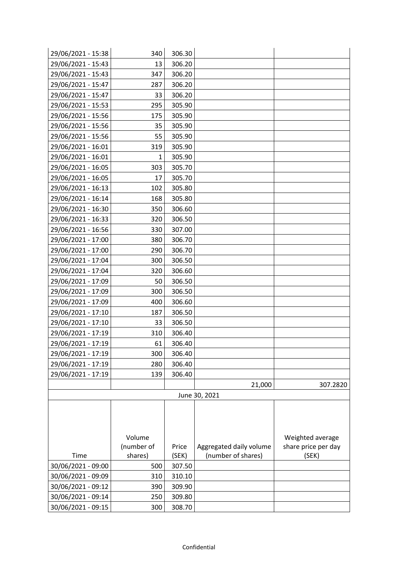| 29/06/2021 - 15:38 | 340        | 306.30 |                         |                     |
|--------------------|------------|--------|-------------------------|---------------------|
| 29/06/2021 - 15:43 | 13         | 306.20 |                         |                     |
| 29/06/2021 - 15:43 | 347        | 306.20 |                         |                     |
| 29/06/2021 - 15:47 | 287        | 306.20 |                         |                     |
| 29/06/2021 - 15:47 | 33         | 306.20 |                         |                     |
| 29/06/2021 - 15:53 | 295        | 305.90 |                         |                     |
| 29/06/2021 - 15:56 | 175        | 305.90 |                         |                     |
| 29/06/2021 - 15:56 | 35         | 305.90 |                         |                     |
| 29/06/2021 - 15:56 | 55         | 305.90 |                         |                     |
| 29/06/2021 - 16:01 | 319        | 305.90 |                         |                     |
| 29/06/2021 - 16:01 | 1          | 305.90 |                         |                     |
| 29/06/2021 - 16:05 | 303        | 305.70 |                         |                     |
| 29/06/2021 - 16:05 | 17         | 305.70 |                         |                     |
| 29/06/2021 - 16:13 | 102        | 305.80 |                         |                     |
| 29/06/2021 - 16:14 | 168        | 305.80 |                         |                     |
| 29/06/2021 - 16:30 | 350        | 306.60 |                         |                     |
| 29/06/2021 - 16:33 | 320        | 306.50 |                         |                     |
| 29/06/2021 - 16:56 | 330        | 307.00 |                         |                     |
| 29/06/2021 - 17:00 | 380        | 306.70 |                         |                     |
| 29/06/2021 - 17:00 | 290        | 306.70 |                         |                     |
| 29/06/2021 - 17:04 | 300        | 306.50 |                         |                     |
| 29/06/2021 - 17:04 | 320        | 306.60 |                         |                     |
| 29/06/2021 - 17:09 | 50         | 306.50 |                         |                     |
| 29/06/2021 - 17:09 | 300        | 306.50 |                         |                     |
| 29/06/2021 - 17:09 | 400        | 306.60 |                         |                     |
| 29/06/2021 - 17:10 | 187        | 306.50 |                         |                     |
| 29/06/2021 - 17:10 | 33         | 306.50 |                         |                     |
| 29/06/2021 - 17:19 | 310        | 306.40 |                         |                     |
| 29/06/2021 - 17:19 | 61         | 306.40 |                         |                     |
| 29/06/2021 - 17:19 | 300        | 306.40 |                         |                     |
| 29/06/2021 - 17:19 | 280        | 306.40 |                         |                     |
| 29/06/2021 - 17:19 | 139        | 306.40 |                         |                     |
|                    |            |        | 21,000                  | 307.2820            |
|                    |            |        | June 30, 2021           |                     |
|                    |            |        |                         |                     |
|                    |            |        |                         |                     |
|                    |            |        |                         |                     |
|                    | Volume     |        |                         | Weighted average    |
|                    | (number of | Price  | Aggregated daily volume | share price per day |
| Time               | shares)    | (SEK)  | (number of shares)      | (SEK)               |
| 30/06/2021 - 09:00 | 500        | 307.50 |                         |                     |
| 30/06/2021 - 09:09 | 310        | 310.10 |                         |                     |
| 30/06/2021 - 09:12 | 390        | 309.90 |                         |                     |
| 30/06/2021 - 09:14 | 250        | 309.80 |                         |                     |
| 30/06/2021 - 09:15 | 300        | 308.70 |                         |                     |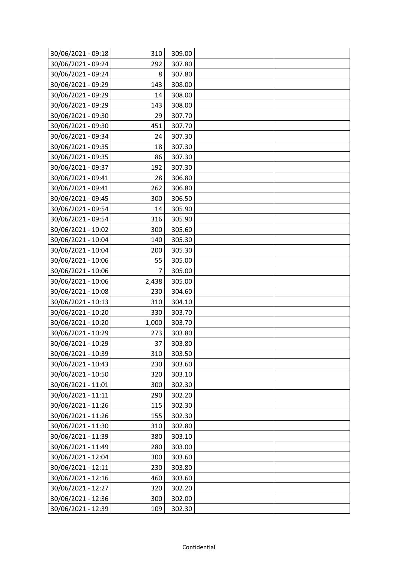| 30/06/2021 - 09:18 | 310   | 309.00 |  |
|--------------------|-------|--------|--|
| 30/06/2021 - 09:24 | 292   | 307.80 |  |
| 30/06/2021 - 09:24 | 8     | 307.80 |  |
| 30/06/2021 - 09:29 | 143   | 308.00 |  |
| 30/06/2021 - 09:29 | 14    | 308.00 |  |
| 30/06/2021 - 09:29 | 143   | 308.00 |  |
| 30/06/2021 - 09:30 | 29    | 307.70 |  |
| 30/06/2021 - 09:30 | 451   | 307.70 |  |
| 30/06/2021 - 09:34 | 24    | 307.30 |  |
| 30/06/2021 - 09:35 | 18    | 307.30 |  |
| 30/06/2021 - 09:35 | 86    | 307.30 |  |
| 30/06/2021 - 09:37 | 192   | 307.30 |  |
| 30/06/2021 - 09:41 | 28    | 306.80 |  |
| 30/06/2021 - 09:41 | 262   | 306.80 |  |
| 30/06/2021 - 09:45 | 300   | 306.50 |  |
| 30/06/2021 - 09:54 | 14    | 305.90 |  |
| 30/06/2021 - 09:54 | 316   | 305.90 |  |
| 30/06/2021 - 10:02 | 300   | 305.60 |  |
| 30/06/2021 - 10:04 | 140   | 305.30 |  |
| 30/06/2021 - 10:04 | 200   | 305.30 |  |
| 30/06/2021 - 10:06 | 55    | 305.00 |  |
| 30/06/2021 - 10:06 | 7     | 305.00 |  |
| 30/06/2021 - 10:06 | 2,438 | 305.00 |  |
| 30/06/2021 - 10:08 | 230   | 304.60 |  |
| 30/06/2021 - 10:13 | 310   | 304.10 |  |
| 30/06/2021 - 10:20 | 330   | 303.70 |  |
| 30/06/2021 - 10:20 | 1,000 | 303.70 |  |
| 30/06/2021 - 10:29 | 273   | 303.80 |  |
| 30/06/2021 - 10:29 | 37    | 303.80 |  |
| 30/06/2021 - 10:39 | 310   | 303.50 |  |
| 30/06/2021 - 10:43 | 230   | 303.60 |  |
| 30/06/2021 - 10:50 | 320   | 303.10 |  |
| 30/06/2021 - 11:01 | 300   | 302.30 |  |
| 30/06/2021 - 11:11 | 290   | 302.20 |  |
| 30/06/2021 - 11:26 | 115   | 302.30 |  |
| 30/06/2021 - 11:26 | 155   | 302.30 |  |
| 30/06/2021 - 11:30 | 310   | 302.80 |  |
| 30/06/2021 - 11:39 | 380   | 303.10 |  |
| 30/06/2021 - 11:49 | 280   | 303.00 |  |
| 30/06/2021 - 12:04 | 300   | 303.60 |  |
| 30/06/2021 - 12:11 | 230   | 303.80 |  |
| 30/06/2021 - 12:16 | 460   | 303.60 |  |
| 30/06/2021 - 12:27 | 320   | 302.20 |  |
| 30/06/2021 - 12:36 | 300   | 302.00 |  |
| 30/06/2021 - 12:39 | 109   | 302.30 |  |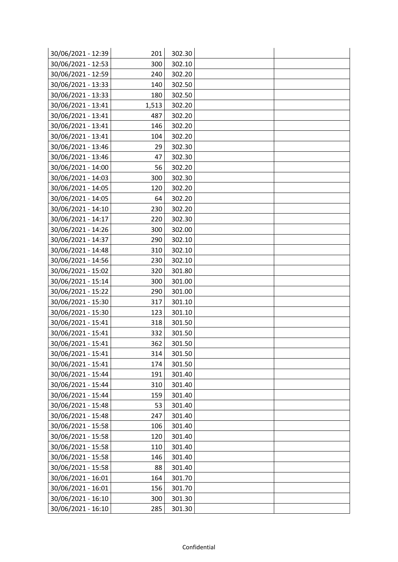| 30/06/2021 - 12:39 | 201   | 302.30 |  |
|--------------------|-------|--------|--|
| 30/06/2021 - 12:53 | 300   | 302.10 |  |
| 30/06/2021 - 12:59 | 240   | 302.20 |  |
| 30/06/2021 - 13:33 | 140   | 302.50 |  |
| 30/06/2021 - 13:33 | 180   | 302.50 |  |
| 30/06/2021 - 13:41 | 1,513 | 302.20 |  |
| 30/06/2021 - 13:41 | 487   | 302.20 |  |
| 30/06/2021 - 13:41 | 146   | 302.20 |  |
| 30/06/2021 - 13:41 | 104   | 302.20 |  |
| 30/06/2021 - 13:46 | 29    | 302.30 |  |
| 30/06/2021 - 13:46 | 47    | 302.30 |  |
| 30/06/2021 - 14:00 | 56    | 302.20 |  |
| 30/06/2021 - 14:03 | 300   | 302.30 |  |
| 30/06/2021 - 14:05 | 120   | 302.20 |  |
| 30/06/2021 - 14:05 | 64    | 302.20 |  |
| 30/06/2021 - 14:10 | 230   | 302.20 |  |
| 30/06/2021 - 14:17 | 220   | 302.30 |  |
| 30/06/2021 - 14:26 | 300   | 302.00 |  |
| 30/06/2021 - 14:37 | 290   | 302.10 |  |
| 30/06/2021 - 14:48 | 310   | 302.10 |  |
| 30/06/2021 - 14:56 | 230   | 302.10 |  |
| 30/06/2021 - 15:02 | 320   | 301.80 |  |
| 30/06/2021 - 15:14 | 300   | 301.00 |  |
| 30/06/2021 - 15:22 | 290   | 301.00 |  |
| 30/06/2021 - 15:30 | 317   | 301.10 |  |
| 30/06/2021 - 15:30 | 123   | 301.10 |  |
| 30/06/2021 - 15:41 | 318   | 301.50 |  |
| 30/06/2021 - 15:41 | 332   | 301.50 |  |
| 30/06/2021 - 15:41 | 362   | 301.50 |  |
| 30/06/2021 - 15:41 | 314   | 301.50 |  |
| 30/06/2021 - 15:41 | 174   | 301.50 |  |
| 30/06/2021 - 15:44 | 191   | 301.40 |  |
| 30/06/2021 - 15:44 | 310   | 301.40 |  |
| 30/06/2021 - 15:44 | 159   | 301.40 |  |
| 30/06/2021 - 15:48 | 53    | 301.40 |  |
| 30/06/2021 - 15:48 | 247   | 301.40 |  |
| 30/06/2021 - 15:58 | 106   | 301.40 |  |
| 30/06/2021 - 15:58 | 120   | 301.40 |  |
| 30/06/2021 - 15:58 | 110   | 301.40 |  |
| 30/06/2021 - 15:58 | 146   | 301.40 |  |
| 30/06/2021 - 15:58 | 88    | 301.40 |  |
| 30/06/2021 - 16:01 | 164   | 301.70 |  |
| 30/06/2021 - 16:01 | 156   | 301.70 |  |
| 30/06/2021 - 16:10 | 300   | 301.30 |  |
| 30/06/2021 - 16:10 | 285   | 301.30 |  |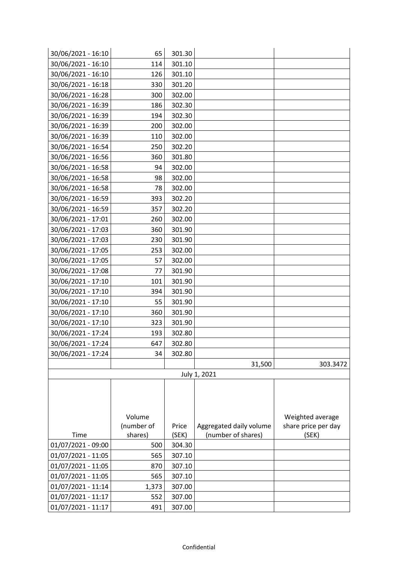| 30/06/2021 - 16:10 | 65         | 301.30 |                         |                     |
|--------------------|------------|--------|-------------------------|---------------------|
| 30/06/2021 - 16:10 | 114        | 301.10 |                         |                     |
| 30/06/2021 - 16:10 | 126        | 301.10 |                         |                     |
| 30/06/2021 - 16:18 | 330        | 301.20 |                         |                     |
| 30/06/2021 - 16:28 | 300        | 302.00 |                         |                     |
| 30/06/2021 - 16:39 | 186        | 302.30 |                         |                     |
| 30/06/2021 - 16:39 | 194        | 302.30 |                         |                     |
| 30/06/2021 - 16:39 | 200        | 302.00 |                         |                     |
| 30/06/2021 - 16:39 | 110        | 302.00 |                         |                     |
| 30/06/2021 - 16:54 | 250        | 302.20 |                         |                     |
| 30/06/2021 - 16:56 | 360        | 301.80 |                         |                     |
| 30/06/2021 - 16:58 | 94         | 302.00 |                         |                     |
| 30/06/2021 - 16:58 | 98         | 302.00 |                         |                     |
| 30/06/2021 - 16:58 | 78         | 302.00 |                         |                     |
| 30/06/2021 - 16:59 | 393        | 302.20 |                         |                     |
| 30/06/2021 - 16:59 | 357        | 302.20 |                         |                     |
| 30/06/2021 - 17:01 | 260        | 302.00 |                         |                     |
| 30/06/2021 - 17:03 | 360        | 301.90 |                         |                     |
| 30/06/2021 - 17:03 | 230        | 301.90 |                         |                     |
| 30/06/2021 - 17:05 | 253        | 302.00 |                         |                     |
| 30/06/2021 - 17:05 | 57         | 302.00 |                         |                     |
| 30/06/2021 - 17:08 | 77         | 301.90 |                         |                     |
| 30/06/2021 - 17:10 | 101        | 301.90 |                         |                     |
| 30/06/2021 - 17:10 | 394        | 301.90 |                         |                     |
| 30/06/2021 - 17:10 | 55         | 301.90 |                         |                     |
| 30/06/2021 - 17:10 | 360        | 301.90 |                         |                     |
| 30/06/2021 - 17:10 | 323        | 301.90 |                         |                     |
| 30/06/2021 - 17:24 | 193        | 302.80 |                         |                     |
| 30/06/2021 - 17:24 | 647        | 302.80 |                         |                     |
| 30/06/2021 - 17:24 | 34         | 302.80 |                         |                     |
|                    |            |        | 31,500                  | 303.3472            |
|                    |            |        | July 1, 2021            |                     |
|                    |            |        |                         |                     |
|                    |            |        |                         |                     |
|                    |            |        |                         |                     |
|                    | Volume     |        |                         | Weighted average    |
|                    | (number of | Price  | Aggregated daily volume | share price per day |
| Time               | shares)    | (SEK)  | (number of shares)      | (SEK)               |
| 01/07/2021 - 09:00 | 500        | 304.30 |                         |                     |
| 01/07/2021 - 11:05 | 565        | 307.10 |                         |                     |
| 01/07/2021 - 11:05 | 870        | 307.10 |                         |                     |
| 01/07/2021 - 11:05 | 565        | 307.10 |                         |                     |
| 01/07/2021 - 11:14 | 1,373      | 307.00 |                         |                     |
| 01/07/2021 - 11:17 | 552        | 307.00 |                         |                     |
| 01/07/2021 - 11:17 | 491        | 307.00 |                         |                     |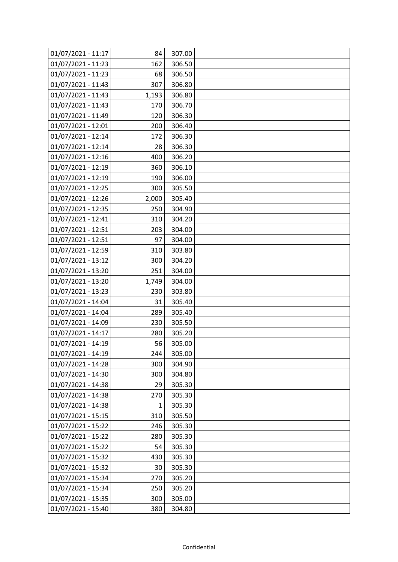| 01/07/2021 - 11:17 | 84    | 307.00 |  |
|--------------------|-------|--------|--|
| 01/07/2021 - 11:23 | 162   | 306.50 |  |
| 01/07/2021 - 11:23 | 68    | 306.50 |  |
| 01/07/2021 - 11:43 | 307   | 306.80 |  |
| 01/07/2021 - 11:43 | 1,193 | 306.80 |  |
| 01/07/2021 - 11:43 | 170   | 306.70 |  |
| 01/07/2021 - 11:49 | 120   | 306.30 |  |
| 01/07/2021 - 12:01 | 200   | 306.40 |  |
| 01/07/2021 - 12:14 | 172   | 306.30 |  |
| 01/07/2021 - 12:14 | 28    | 306.30 |  |
| 01/07/2021 - 12:16 | 400   | 306.20 |  |
| 01/07/2021 - 12:19 | 360   | 306.10 |  |
| 01/07/2021 - 12:19 | 190   | 306.00 |  |
| 01/07/2021 - 12:25 | 300   | 305.50 |  |
| 01/07/2021 - 12:26 | 2,000 | 305.40 |  |
| 01/07/2021 - 12:35 | 250   | 304.90 |  |
| 01/07/2021 - 12:41 | 310   | 304.20 |  |
| 01/07/2021 - 12:51 | 203   | 304.00 |  |
| 01/07/2021 - 12:51 | 97    | 304.00 |  |
| 01/07/2021 - 12:59 | 310   | 303.80 |  |
| 01/07/2021 - 13:12 | 300   | 304.20 |  |
| 01/07/2021 - 13:20 | 251   | 304.00 |  |
| 01/07/2021 - 13:20 | 1,749 | 304.00 |  |
| 01/07/2021 - 13:23 | 230   | 303.80 |  |
| 01/07/2021 - 14:04 | 31    | 305.40 |  |
| 01/07/2021 - 14:04 | 289   | 305.40 |  |
| 01/07/2021 - 14:09 | 230   | 305.50 |  |
| 01/07/2021 - 14:17 | 280   | 305.20 |  |
| 01/07/2021 - 14:19 | 56    | 305.00 |  |
| 01/07/2021 - 14:19 | 244   | 305.00 |  |
| 01/07/2021 - 14:28 | 300   | 304.90 |  |
| 01/07/2021 - 14:30 | 300   | 304.80 |  |
| 01/07/2021 - 14:38 | 29    | 305.30 |  |
| 01/07/2021 - 14:38 | 270   | 305.30 |  |
| 01/07/2021 - 14:38 | 1     | 305.30 |  |
| 01/07/2021 - 15:15 | 310   | 305.50 |  |
| 01/07/2021 - 15:22 | 246   | 305.30 |  |
| 01/07/2021 - 15:22 | 280   | 305.30 |  |
| 01/07/2021 - 15:22 | 54    | 305.30 |  |
| 01/07/2021 - 15:32 | 430   | 305.30 |  |
| 01/07/2021 - 15:32 | 30    | 305.30 |  |
| 01/07/2021 - 15:34 | 270   | 305.20 |  |
| 01/07/2021 - 15:34 | 250   | 305.20 |  |
| 01/07/2021 - 15:35 | 300   | 305.00 |  |
| 01/07/2021 - 15:40 | 380   | 304.80 |  |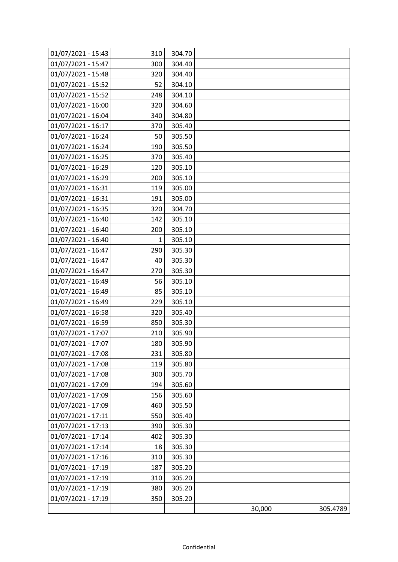| 01/07/2021 - 15:43 | 310 | 304.70 |        |          |
|--------------------|-----|--------|--------|----------|
| 01/07/2021 - 15:47 | 300 | 304.40 |        |          |
| 01/07/2021 - 15:48 | 320 | 304.40 |        |          |
| 01/07/2021 - 15:52 | 52  | 304.10 |        |          |
| 01/07/2021 - 15:52 | 248 | 304.10 |        |          |
| 01/07/2021 - 16:00 | 320 | 304.60 |        |          |
| 01/07/2021 - 16:04 | 340 | 304.80 |        |          |
| 01/07/2021 - 16:17 | 370 | 305.40 |        |          |
| 01/07/2021 - 16:24 | 50  | 305.50 |        |          |
| 01/07/2021 - 16:24 | 190 | 305.50 |        |          |
| 01/07/2021 - 16:25 | 370 | 305.40 |        |          |
| 01/07/2021 - 16:29 | 120 | 305.10 |        |          |
| 01/07/2021 - 16:29 | 200 | 305.10 |        |          |
| 01/07/2021 - 16:31 | 119 | 305.00 |        |          |
| 01/07/2021 - 16:31 | 191 | 305.00 |        |          |
| 01/07/2021 - 16:35 | 320 | 304.70 |        |          |
| 01/07/2021 - 16:40 | 142 | 305.10 |        |          |
| 01/07/2021 - 16:40 | 200 | 305.10 |        |          |
| 01/07/2021 - 16:40 | 1   | 305.10 |        |          |
| 01/07/2021 - 16:47 | 290 | 305.30 |        |          |
| 01/07/2021 - 16:47 | 40  | 305.30 |        |          |
| 01/07/2021 - 16:47 | 270 | 305.30 |        |          |
| 01/07/2021 - 16:49 | 56  | 305.10 |        |          |
| 01/07/2021 - 16:49 | 85  | 305.10 |        |          |
| 01/07/2021 - 16:49 | 229 | 305.10 |        |          |
| 01/07/2021 - 16:58 | 320 | 305.40 |        |          |
| 01/07/2021 - 16:59 | 850 | 305.30 |        |          |
| 01/07/2021 - 17:07 | 210 | 305.90 |        |          |
| 01/07/2021 - 17:07 | 180 | 305.90 |        |          |
| 01/07/2021 - 17:08 | 231 | 305.80 |        |          |
| 01/07/2021 - 17:08 | 119 | 305.80 |        |          |
| 01/07/2021 - 17:08 | 300 | 305.70 |        |          |
| 01/07/2021 - 17:09 | 194 | 305.60 |        |          |
| 01/07/2021 - 17:09 | 156 | 305.60 |        |          |
| 01/07/2021 - 17:09 | 460 | 305.50 |        |          |
| 01/07/2021 - 17:11 | 550 | 305.40 |        |          |
| 01/07/2021 - 17:13 | 390 | 305.30 |        |          |
| 01/07/2021 - 17:14 | 402 | 305.30 |        |          |
| 01/07/2021 - 17:14 | 18  | 305.30 |        |          |
| 01/07/2021 - 17:16 | 310 | 305.30 |        |          |
| 01/07/2021 - 17:19 | 187 | 305.20 |        |          |
| 01/07/2021 - 17:19 | 310 | 305.20 |        |          |
| 01/07/2021 - 17:19 | 380 | 305.20 |        |          |
| 01/07/2021 - 17:19 | 350 | 305.20 |        |          |
|                    |     |        | 30,000 | 305.4789 |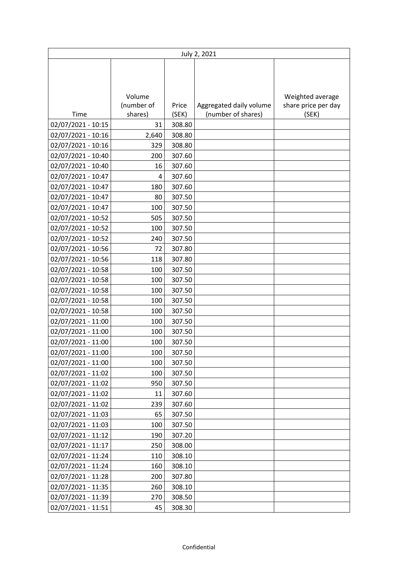|                    | July 2, 2021 |        |                         |                     |  |  |
|--------------------|--------------|--------|-------------------------|---------------------|--|--|
|                    |              |        |                         |                     |  |  |
|                    |              |        |                         |                     |  |  |
|                    |              |        |                         |                     |  |  |
|                    | Volume       |        |                         | Weighted average    |  |  |
|                    | (number of   | Price  | Aggregated daily volume | share price per day |  |  |
| Time               | shares)      | (SEK)  | (number of shares)      | (SEK)               |  |  |
| 02/07/2021 - 10:15 | 31           | 308.80 |                         |                     |  |  |
| 02/07/2021 - 10:16 | 2,640        | 308.80 |                         |                     |  |  |
| 02/07/2021 - 10:16 | 329          | 308.80 |                         |                     |  |  |
| 02/07/2021 - 10:40 | 200          | 307.60 |                         |                     |  |  |
| 02/07/2021 - 10:40 | 16           | 307.60 |                         |                     |  |  |
| 02/07/2021 - 10:47 | 4            | 307.60 |                         |                     |  |  |
| 02/07/2021 - 10:47 | 180          | 307.60 |                         |                     |  |  |
| 02/07/2021 - 10:47 | 80           | 307.50 |                         |                     |  |  |
| 02/07/2021 - 10:47 | 100          | 307.50 |                         |                     |  |  |
| 02/07/2021 - 10:52 | 505          | 307.50 |                         |                     |  |  |
| 02/07/2021 - 10:52 | 100          | 307.50 |                         |                     |  |  |
| 02/07/2021 - 10:52 | 240          | 307.50 |                         |                     |  |  |
| 02/07/2021 - 10:56 | 72           | 307.80 |                         |                     |  |  |
| 02/07/2021 - 10:56 | 118          | 307.80 |                         |                     |  |  |
| 02/07/2021 - 10:58 | 100          | 307.50 |                         |                     |  |  |
| 02/07/2021 - 10:58 | 100          | 307.50 |                         |                     |  |  |
| 02/07/2021 - 10:58 | 100          | 307.50 |                         |                     |  |  |
| 02/07/2021 - 10:58 | 100          | 307.50 |                         |                     |  |  |
| 02/07/2021 - 10:58 | 100          | 307.50 |                         |                     |  |  |
| 02/07/2021 - 11:00 | 100          | 307.50 |                         |                     |  |  |
| 02/07/2021 - 11:00 | 100          | 307.50 |                         |                     |  |  |
| 02/07/2021 - 11:00 | 100          | 307.50 |                         |                     |  |  |
| 02/07/2021 - 11:00 | 100          | 307.50 |                         |                     |  |  |
| 02/07/2021 - 11:00 | 100          | 307.50 |                         |                     |  |  |
| 02/07/2021 - 11:02 | 100          | 307.50 |                         |                     |  |  |
| 02/07/2021 - 11:02 | 950          | 307.50 |                         |                     |  |  |
| 02/07/2021 - 11:02 | 11           | 307.60 |                         |                     |  |  |
| 02/07/2021 - 11:02 | 239          | 307.60 |                         |                     |  |  |
| 02/07/2021 - 11:03 | 65           | 307.50 |                         |                     |  |  |
| 02/07/2021 - 11:03 | 100          | 307.50 |                         |                     |  |  |
| 02/07/2021 - 11:12 | 190          | 307.20 |                         |                     |  |  |
| 02/07/2021 - 11:17 | 250          | 308.00 |                         |                     |  |  |
| 02/07/2021 - 11:24 | 110          | 308.10 |                         |                     |  |  |
| 02/07/2021 - 11:24 | 160          | 308.10 |                         |                     |  |  |
| 02/07/2021 - 11:28 | 200          | 307.80 |                         |                     |  |  |
| 02/07/2021 - 11:35 | 260          | 308.10 |                         |                     |  |  |
| 02/07/2021 - 11:39 | 270          | 308.50 |                         |                     |  |  |
| 02/07/2021 - 11:51 | 45           | 308.30 |                         |                     |  |  |
|                    |              |        |                         |                     |  |  |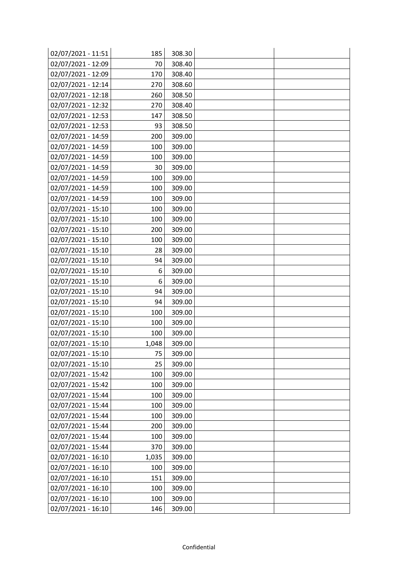| 02/07/2021 - 11:51 | 185   | 308.30 |  |
|--------------------|-------|--------|--|
| 02/07/2021 - 12:09 | 70    | 308.40 |  |
| 02/07/2021 - 12:09 | 170   | 308.40 |  |
| 02/07/2021 - 12:14 | 270   | 308.60 |  |
| 02/07/2021 - 12:18 | 260   | 308.50 |  |
| 02/07/2021 - 12:32 | 270   | 308.40 |  |
| 02/07/2021 - 12:53 | 147   | 308.50 |  |
| 02/07/2021 - 12:53 | 93    | 308.50 |  |
| 02/07/2021 - 14:59 | 200   | 309.00 |  |
| 02/07/2021 - 14:59 | 100   | 309.00 |  |
| 02/07/2021 - 14:59 | 100   | 309.00 |  |
| 02/07/2021 - 14:59 | 30    | 309.00 |  |
| 02/07/2021 - 14:59 | 100   | 309.00 |  |
| 02/07/2021 - 14:59 | 100   | 309.00 |  |
| 02/07/2021 - 14:59 | 100   | 309.00 |  |
| 02/07/2021 - 15:10 | 100   | 309.00 |  |
| 02/07/2021 - 15:10 | 100   | 309.00 |  |
| 02/07/2021 - 15:10 | 200   | 309.00 |  |
| 02/07/2021 - 15:10 | 100   | 309.00 |  |
| 02/07/2021 - 15:10 | 28    | 309.00 |  |
| 02/07/2021 - 15:10 | 94    | 309.00 |  |
| 02/07/2021 - 15:10 | 6     | 309.00 |  |
| 02/07/2021 - 15:10 | 6     | 309.00 |  |
| 02/07/2021 - 15:10 | 94    | 309.00 |  |
| 02/07/2021 - 15:10 | 94    | 309.00 |  |
| 02/07/2021 - 15:10 | 100   | 309.00 |  |
| 02/07/2021 - 15:10 | 100   | 309.00 |  |
| 02/07/2021 - 15:10 | 100   | 309.00 |  |
| 02/07/2021 - 15:10 | 1,048 | 309.00 |  |
| 02/07/2021 - 15:10 | 75    | 309.00 |  |
| 02/07/2021 - 15:10 | 25    | 309.00 |  |
| 02/07/2021 - 15:42 | 100   | 309.00 |  |
| 02/07/2021 - 15:42 | 100   | 309.00 |  |
| 02/07/2021 - 15:44 | 100   | 309.00 |  |
| 02/07/2021 - 15:44 | 100   | 309.00 |  |
| 02/07/2021 - 15:44 | 100   | 309.00 |  |
| 02/07/2021 - 15:44 | 200   | 309.00 |  |
| 02/07/2021 - 15:44 | 100   | 309.00 |  |
| 02/07/2021 - 15:44 | 370   | 309.00 |  |
| 02/07/2021 - 16:10 | 1,035 | 309.00 |  |
| 02/07/2021 - 16:10 | 100   | 309.00 |  |
| 02/07/2021 - 16:10 | 151   | 309.00 |  |
| 02/07/2021 - 16:10 | 100   | 309.00 |  |
| 02/07/2021 - 16:10 | 100   | 309.00 |  |
| 02/07/2021 - 16:10 | 146   | 309.00 |  |